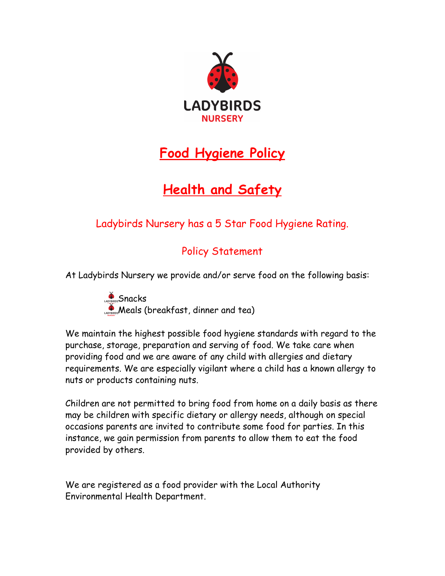

## **Food Hygiene Policy**

# **Health and Safety**

## Ladybirds Nursery has a 5 Star Food Hygiene Rating.

### Policy Statement

At Ladybirds Nursery we provide and/or serve food on the following basis:

Snacks Meals (breakfast, dinner and tea)

We maintain the highest possible food hygiene standards with regard to the purchase, storage, preparation and serving of food. We take care when providing food and we are aware of any child with allergies and dietary requirements. We are especially vigilant where a child has a known allergy to nuts or products containing nuts.

Children are not permitted to bring food from home on a daily basis as there may be children with specific dietary or allergy needs, although on special occasions parents are invited to contribute some food for parties. In this instance, we gain permission from parents to allow them to eat the food provided by others.

We are registered as a food provider with the Local Authority Environmental Health Department.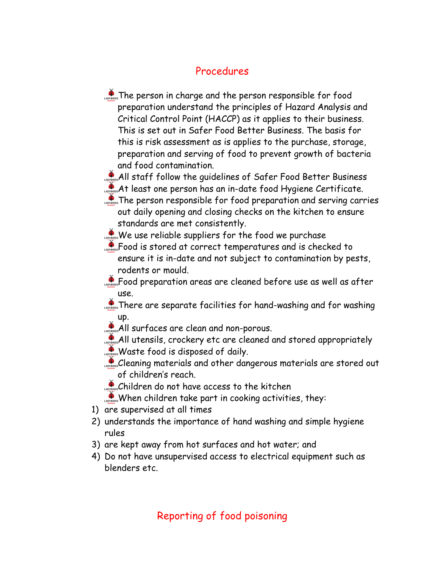#### Procedures

**The person in charge and the person responsible for food** preparation understand the principles of Hazard Analysis and Critical Control Point (HACCP) as it applies to their business. This is set out in Safer Food Better Business. The basis for this is risk assessment as is applies to the purchase, storage, preparation and serving of food to prevent growth of bacteria and food contamination.

All staff follow the quidelines of Safer Food Better Business

At least one person has an in-date food Hygiene Certificate.

**The person responsible for food preparation and serving carries** out daily opening and closing checks on the kitchen to ensure standards are met consistently.

We use reliable suppliers for the food we purchase

Food is stored at correct temperatures and is checked to ensure it is in-date and not subject to contamination by pests, rodents or mould.

**Paraget Second preparation areas are cleaned before use as well as after** use.

**There are separate facilities for hand-washing and for washing** up.

All surfaces are clean and non-porous.

All utensils, crockery etc are cleaned and stored appropriately

**Waste food is disposed of daily.** 

Cleaning materials and other dangerous materials are stored out of children's reach.

Children do not have access to the kitchen

When children take part in cooking activities, they:

- 1) are supervised at all times
- 2) understands the importance of hand washing and simple hygiene rules
- 3) are kept away from hot surfaces and hot water; and
- 4) Do not have unsupervised access to electrical equipment such as blenders etc.

### Reporting of food poisoning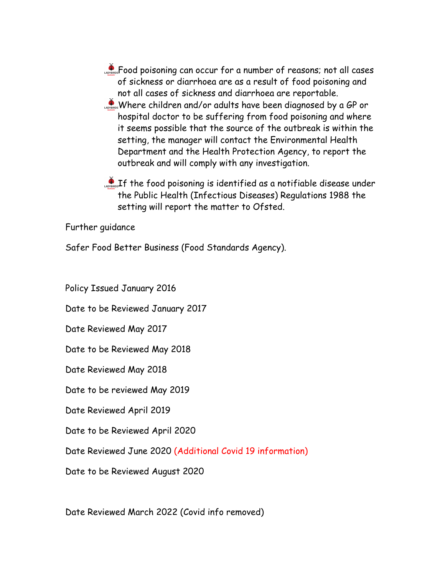**Food poisoning can occur for a number of reasons; not all cases** of sickness or diarrhoea are as a result of food poisoning and not all cases of sickness and diarrhoea are reportable. Where children and/or adults have been diagnosed by a GP or hospital doctor to be suffering from food poisoning and where it seems possible that the source of the outbreak is within the setting, the manager will contact the Environmental Health Department and the Health Protection Agency, to report the outbreak and will comply with any investigation.

**Pass** If the food poisoning is identified as a notifiable disease under the Public Health (Infectious Diseases) Regulations 1988 the setting will report the matter to Ofsted.

Further guidance

Safer Food Better Business (Food Standards Agency).

Policy Issued January 2016

Date to be Reviewed January 2017

Date Reviewed May 2017

Date to be Reviewed May 2018

Date Reviewed May 2018

Date to be reviewed May 2019

Date Reviewed April 2019

Date to be Reviewed April 2020

Date Reviewed June 2020 (Additional Covid 19 information)

Date to be Reviewed August 2020

Date Reviewed March 2022 (Covid info removed)